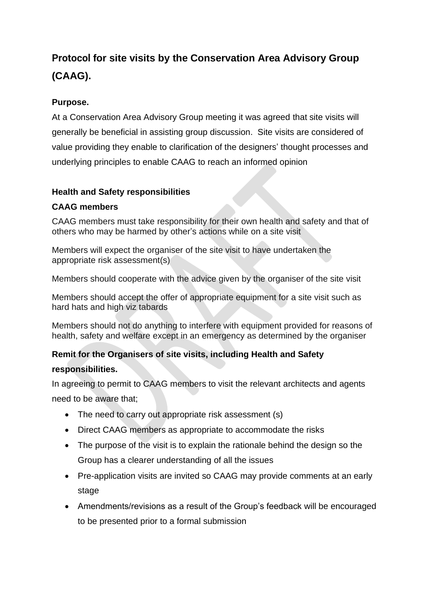# **Protocol for site visits by the Conservation Area Advisory Group (CAAG).**

## **Purpose.**

At a Conservation Area Advisory Group meeting it was agreed that site visits will generally be beneficial in assisting group discussion. Site visits are considered of value providing they enable to clarification of the designers' thought processes and underlying principles to enable CAAG to reach an informed opinion

### **Health and Safety responsibilities**

### **CAAG members**

CAAG members must take responsibility for their own health and safety and that of others who may be harmed by other's actions while on a site visit

Members will expect the organiser of the site visit to have undertaken the appropriate risk assessment(s)

Members should cooperate with the advice given by the organiser of the site visit

Members should accept the offer of appropriate equipment for a site visit such as hard hats and high viz tabards

Members should not do anything to interfere with equipment provided for reasons of health, safety and welfare except in an emergency as determined by the organiser

### **Remit for the Organisers of site visits, including Health and Safety**

### **responsibilities.**

In agreeing to permit to CAAG members to visit the relevant architects and agents need to be aware that;

- The need to carry out appropriate risk assessment (s)
- Direct CAAG members as appropriate to accommodate the risks
- The purpose of the visit is to explain the rationale behind the design so the Group has a clearer understanding of all the issues
- Pre-application visits are invited so CAAG may provide comments at an early stage
- Amendments/revisions as a result of the Group's feedback will be encouraged to be presented prior to a formal submission